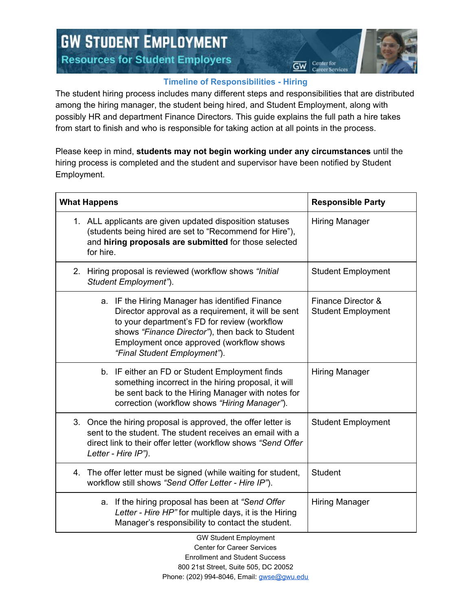## **GW STUDENT EMPLOYMENT Resources for Student Employers**



Center for

ឝw

## **Timeline of Responsibilities - Hiring**

The student hiring process includes many different steps and responsibilities that are distributed among the hiring manager, the student being hired, and Student Employment, along with possibly HR and department Finance Directors. This guide explains the full path a hire takes from start to finish and who is responsible for taking action at all points in the process.

Please keep in mind, **students may not begin working under any circumstances** until the hiring process is completed and the student and supervisor have been notified by Student Employment.

|                       | <b>What Happens</b>                                                                                                                                                                                                                                                                      | <b>Responsible Party</b>                        |  |  |
|-----------------------|------------------------------------------------------------------------------------------------------------------------------------------------------------------------------------------------------------------------------------------------------------------------------------------|-------------------------------------------------|--|--|
|                       | 1. ALL applicants are given updated disposition statuses<br>(students being hired are set to "Recommend for Hire"),<br>and hiring proposals are submitted for those selected<br>for hire.                                                                                                | <b>Hiring Manager</b>                           |  |  |
| 2.                    | Hiring proposal is reviewed (workflow shows "Initial"<br>Student Employment").                                                                                                                                                                                                           | <b>Student Employment</b>                       |  |  |
|                       | IF the Hiring Manager has identified Finance<br>a.<br>Director approval as a requirement, it will be sent<br>to your department's FD for review (workflow<br>shows "Finance Director"), then back to Student<br>Employment once approved (workflow shows<br>"Final Student Employment"). | Finance Director &<br><b>Student Employment</b> |  |  |
|                       | IF either an FD or Student Employment finds<br>b.<br>something incorrect in the hiring proposal, it will<br>be sent back to the Hiring Manager with notes for<br>correction (workflow shows "Hiring Manager").                                                                           | <b>Hiring Manager</b>                           |  |  |
|                       | 3. Once the hiring proposal is approved, the offer letter is<br>sent to the student. The student receives an email with a<br>direct link to their offer letter (workflow shows "Send Offer<br>Letter - Hire IP").                                                                        | <b>Student Employment</b>                       |  |  |
| 4.                    | The offer letter must be signed (while waiting for student,<br>workflow still shows "Send Offer Letter - Hire IP").                                                                                                                                                                      | <b>Student</b>                                  |  |  |
|                       | If the hiring proposal has been at "Send Offer<br>a.<br>Letter - Hire HP" for multiple days, it is the Hiring<br>Manager's responsibility to contact the student.                                                                                                                        | <b>Hiring Manager</b>                           |  |  |
| GW Student Employment |                                                                                                                                                                                                                                                                                          |                                                 |  |  |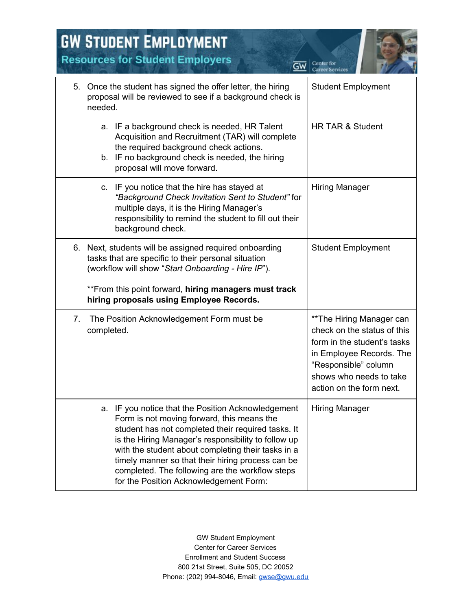| <b>GW STUDENT EMPLOYMENT</b> |                                                                                                                                                                                                                                                                                                                                                                                                                    |                                                                                                                                                                                                    |  |  |  |  |
|------------------------------|--------------------------------------------------------------------------------------------------------------------------------------------------------------------------------------------------------------------------------------------------------------------------------------------------------------------------------------------------------------------------------------------------------------------|----------------------------------------------------------------------------------------------------------------------------------------------------------------------------------------------------|--|--|--|--|
|                              | <b>Resources for Student Employers</b><br>GW                                                                                                                                                                                                                                                                                                                                                                       | Center for<br>Career Services                                                                                                                                                                      |  |  |  |  |
| 5.<br>needed.                | Once the student has signed the offer letter, the hiring<br>proposal will be reviewed to see if a background check is                                                                                                                                                                                                                                                                                              | <b>Student Employment</b>                                                                                                                                                                          |  |  |  |  |
|                              | a. IF a background check is needed, HR Talent<br>Acquisition and Recruitment (TAR) will complete<br>the required background check actions.<br>b. IF no background check is needed, the hiring<br>proposal will move forward.                                                                                                                                                                                       | HR TAR & Student                                                                                                                                                                                   |  |  |  |  |
| C.                           | IF you notice that the hire has stayed at<br>"Background Check Invitation Sent to Student" for<br>multiple days, it is the Hiring Manager's<br>responsibility to remind the student to fill out their<br>background check.                                                                                                                                                                                         | Hiring Manager                                                                                                                                                                                     |  |  |  |  |
|                              | 6. Next, students will be assigned required onboarding<br>tasks that are specific to their personal situation<br>(workflow will show "Start Onboarding - Hire IP").<br>**From this point forward, hiring managers must track<br>hiring proposals using Employee Records.                                                                                                                                           | <b>Student Employment</b>                                                                                                                                                                          |  |  |  |  |
| 7.<br>completed.             | The Position Acknowledgement Form must be                                                                                                                                                                                                                                                                                                                                                                          | ** The Hiring Manager can<br>check on the status of this<br>form in the student's tasks<br>in Employee Records. The<br>"Responsible" column<br>shows who needs to take<br>action on the form next. |  |  |  |  |
| a.                           | IF you notice that the Position Acknowledgement<br>Form is not moving forward, this means the<br>student has not completed their required tasks. It<br>is the Hiring Manager's responsibility to follow up<br>with the student about completing their tasks in a<br>timely manner so that their hiring process can be<br>completed. The following are the workflow steps<br>for the Position Acknowledgement Form: | <b>Hiring Manager</b>                                                                                                                                                                              |  |  |  |  |

and the second control of the second

GW Student Employment Center for Career Services Enrollment and Student Success 800 21st Street, Suite 505, DC 20052 Phone: (202) 994-8046, Email: [gwse@gwu.edu](mailto:gwse@gwu.edu)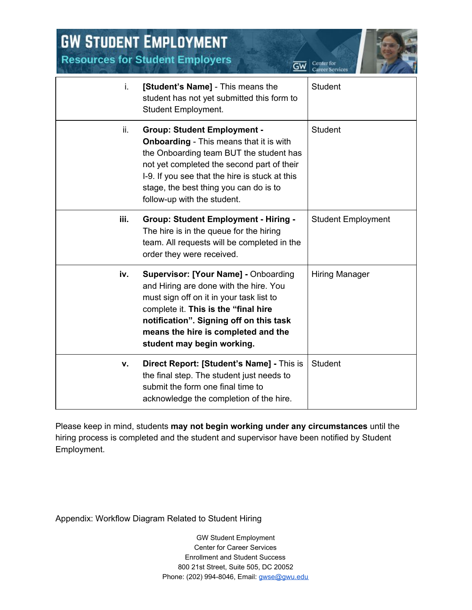**Resources for Student Employers** 

**GW STUDENT EMPLOYMENT** 

| $\overline{GW}$ Center for |  |
|----------------------------|--|
|                            |  |



| i.   | [Student's Name] - This means the<br>student has not yet submitted this form to<br>Student Employment.                                                                                                                                                                                                   | <b>Student</b>            |
|------|----------------------------------------------------------------------------------------------------------------------------------------------------------------------------------------------------------------------------------------------------------------------------------------------------------|---------------------------|
| ii.  | <b>Group: Student Employment -</b><br><b>Onboarding</b> - This means that it is with<br>the Onboarding team BUT the student has<br>not yet completed the second part of their<br>I-9. If you see that the hire is stuck at this<br>stage, the best thing you can do is to<br>follow-up with the student. | <b>Student</b>            |
| iii. | <b>Group: Student Employment - Hiring -</b><br>The hire is in the queue for the hiring<br>team. All requests will be completed in the<br>order they were received.                                                                                                                                       | <b>Student Employment</b> |
| iv.  | <b>Supervisor: [Your Name] - Onboarding</b><br>and Hiring are done with the hire. You<br>must sign off on it in your task list to<br>complete it. This is the "final hire<br>notification". Signing off on this task<br>means the hire is completed and the<br>student may begin working.                | Hiring Manager            |
| v.   | Direct Report: [Student's Name] - This is<br>the final step. The student just needs to<br>submit the form one final time to<br>acknowledge the completion of the hire.                                                                                                                                   | <b>Student</b>            |

Please keep in mind, students **may not begin working under any circumstances** until the hiring process is completed and the student and supervisor have been notified by Student Employment.

Appendix: Workflow Diagram Related to Student Hiring

GW Student Employment Center for Career Services Enrollment and Student Success 800 21st Street, Suite 505, DC 20052 Phone: (202) 994-8046, Email: [gwse@gwu.edu](mailto:gwse@gwu.edu)